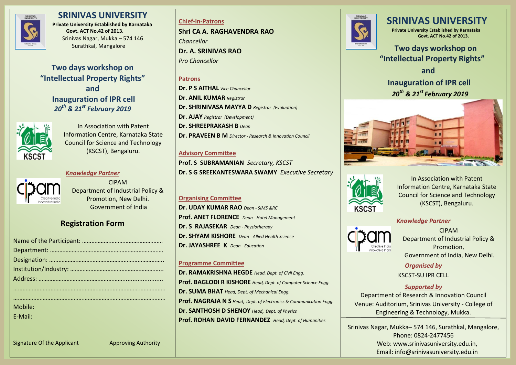

## **SRINIVAS UNIVERSITY**

**Private University Established by Karnataka Govt. ACT No.42 of 2013.** Srinivas Nagar, Mukka – 574 146 Surathkal, Mangalore

**Two days workshop on "Intellectual Property Rights" and Inauguration of IPR cell** *20th & 21st February 2019*



In Association with Patent Information Centre, Karnataka State Council for Science and Technology (KSCST), Bengaluru.

## *Knowledge Partner*



CIPAM Department of Industrial Policy & Promotion, New Delhi. Government of India

# **Registration Form**

| Mobile: |
|---------|
| E-Mail: |
|         |
|         |

**Chief-in-Patrons Shri CA A. RAGHAVENDRA RAO** *Chancellor* **Dr. A. SRINIVAS RAO** *Pro Chancellor*

## **Patrons**

**Dr. P S AITHAL** *Vice Chancellor* **Dr. ANIL KUMAR** *Registrar* **Dr. SHRINIVASA MAYYA D** *Registrar (Evaluation)* **Dr. AJAY** *Registrar (Development)* **Dr. SHREEPRAKASH B** *Dean* **Dr. PRAVEEN B M** *Director - Research & Innovation Council*

## **Advisory Committee**

**Prof. S SUBRAMANIAN** *Secretary, KSCST* **Dr. S G SREEKANTESWARA SWAMY** *Executive Secretary*

## **Organising Committee**

**Dr. UDAY KUMAR RAO** *Dean - SIMS &RC* **Prof. ANET FLORENCE** *Dean - Hotel Management* **Dr. S RAJASEKAR** *Dean - Physiotherapy* **Dr. SHYAM KISHORE** *Dean - Allied Health Science* **Dr. JAYASHREE K** *Dean - Education*

### **Programme Committee**

**Dr. RAMAKRISHNA HEGDE** *Head, Dept. of Civil Engg.* **Prof. BAGLODI R KISHORE** *Head, Dept. of Computer Science Engg.* **Dr. SUMA BHAT** *Head, Dept. of Mechanical Engg.* **Prof. NAGRAJA N S** *Head*, *Dept. of Electronics & Communication Engg.* **Dr. SANTHOSH D SHENOY** *Head, Dept. of Physics* **Prof. ROHAN DAVID FERNANDEZ** *Head, Dept. of Humanities*



# **SRINIVAS UNIVERSITY**

 **Private University Established by Karnataka Govt. ACT No.42 of 2013.**

 **Two days workshop on "Intellectual Property Rights"**

 **and**

# **Inauguration of IPR cell**  *20th & 21st February 2019*





In Association with Patent Information Centre, Karnataka State Council for Science and Technology (KSCST), Bengaluru.

### *Knowledge Partner*



i

CIPAM Department of Industrial Policy & Promotion, Government of India, New Delhi.

*Organised by* KSCST-SU IPR CELL

## *Supported by*

Department of Research & Innovation Council Venue: Auditorium, Srinivas University - College of Engineering & Technology, Mukka.

Srinivas Nagar, Mukka– 574 146, Surathkal, Mangalore, Phone: 0824-2477456 Web: www.srinivasuniversity.edu.in, Email: info@srinivasuniversity.edu.in

Signature Of the Applicant Approving Authority